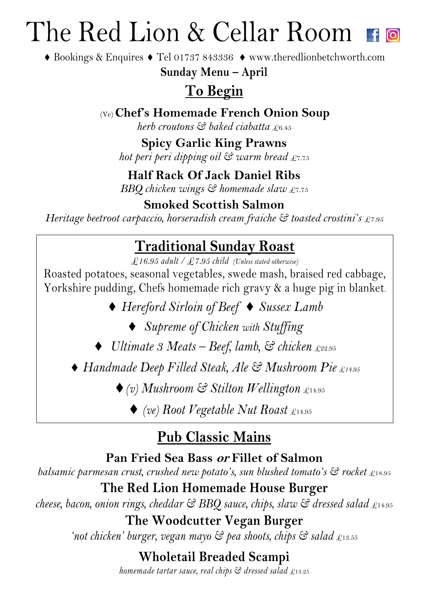## The Red Lion & Cellar Room

◆ Bookings & Enquires ◆ Tel 01737 843336 ◆ www.theredlionbetchworth.com

**Sunday Menu – April**

## **To Begin**

(Ve) **Chef's Homemade French Onion Soup**

*herb croutons & baked ciabatta* £6.45

### **Spicy Garlic King Prawns**

*hot peri peri dipping oil & warm bread* £7.75

### **Half Rack Of Jack Daniel Ribs**

*BBQ chicken wings & homemade slaw* £7.75

### **Smoked Scottish Salmon**

*Heritage beetroot carpaccio, horseradish cream fraiche & toasted crostini's £7.95* 

## **Traditional Sunday Roast**

*£16.95 adult / £7.95 child (Unless stated otherwise)*

Roasted potatoes, seasonal vegetables, swede mash, braised red cabbage, Yorkshire pudding, Chefs homemade rich gravy & a huge pig in blanket.

◆ *Hereford Sirloin of Beef* ◆ *Sussex Lamb* 

¨ *Supreme of Chicken with Stuffing* 

¨ *Ultimate 3 Meats – Beef, lamb, & chicken* £22.95

◆ Handmade Deep Filled Steak, Ale & Mushroom Pie £14.95

¨*(v) Mushroom & Stilton Wellington* £14.95

◆ *(ve)* Root Vegetable Nut Roast £14.95

## **Pub Classic Mains**

#### **Pan Fried Sea Bass or Fillet of Salmon**

*balsamic parmesan crust, crushed new potato's, sun blushed tomato's*  $\Im$  *rocket £18.95* 

**The Red Lion Homemade House Burger**

*cheese, bacon, onion rings, cheddar & BBQ sauce, chips, slaw & dressed salad* £14.95

### **The Woodcutter Vegan Burger**

*'not chicken' burger, vegan mayo & pea shoots, chips & salad* £13.55

**Wholetail Breaded Scampi**

*homemade tartar sauce, real chips & dressed salad* £13.25